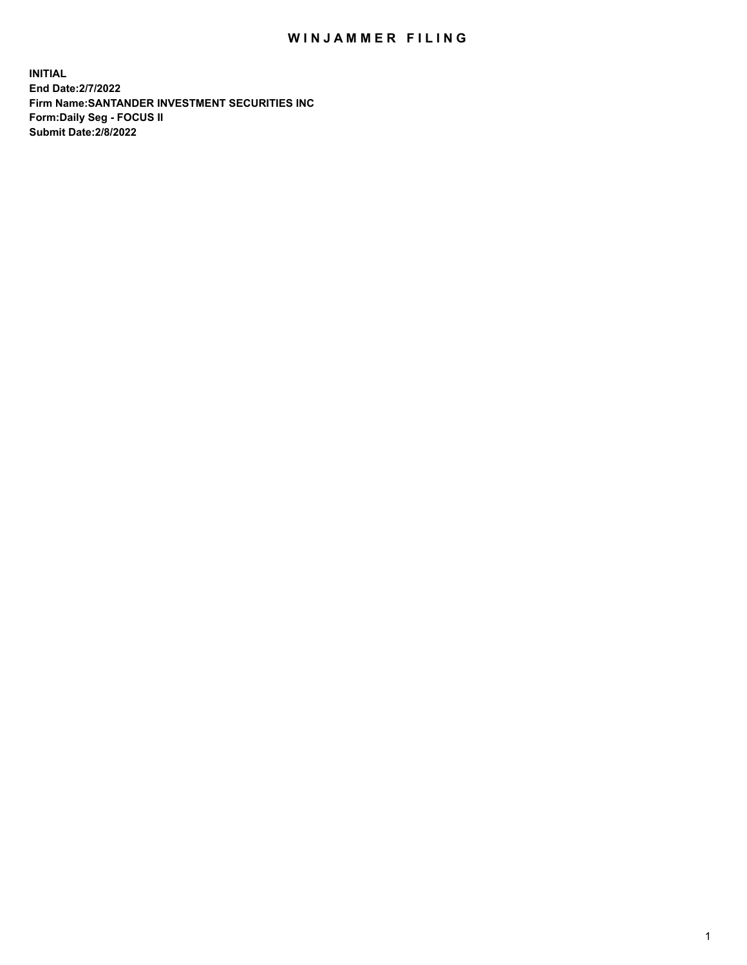## WIN JAMMER FILING

**INITIAL End Date:2/7/2022 Firm Name:SANTANDER INVESTMENT SECURITIES INC Form:Daily Seg - FOCUS II Submit Date:2/8/2022**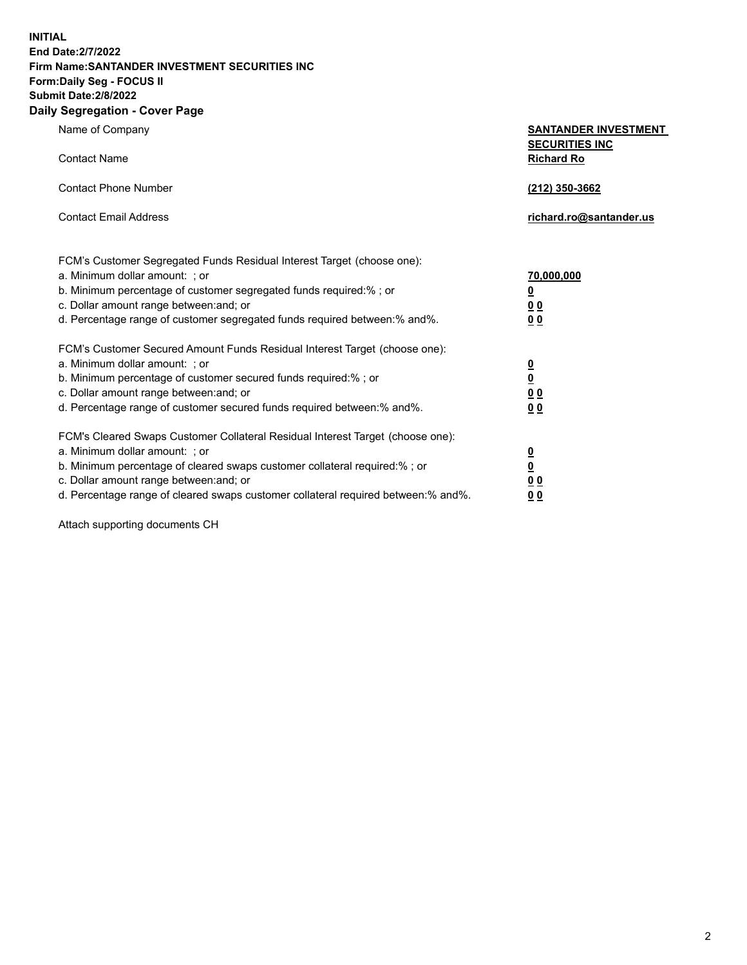**INITIAL End Date:2/7/2022 Firm Name:SANTANDER INVESTMENT SECURITIES INC Form:Daily Seg - FOCUS II Submit Date:2/8/2022 Daily Segregation - Cover Page**

| Name of Company                                                                                                                                                                                                                                                                                                                | <b>SANTANDER INVESTMENT</b>                                         |
|--------------------------------------------------------------------------------------------------------------------------------------------------------------------------------------------------------------------------------------------------------------------------------------------------------------------------------|---------------------------------------------------------------------|
| <b>Contact Name</b>                                                                                                                                                                                                                                                                                                            | <b>SECURITIES INC</b><br><b>Richard Ro</b>                          |
| <b>Contact Phone Number</b>                                                                                                                                                                                                                                                                                                    | (212) 350-3662                                                      |
| <b>Contact Email Address</b>                                                                                                                                                                                                                                                                                                   | richard.ro@santander.us                                             |
| FCM's Customer Segregated Funds Residual Interest Target (choose one):<br>a. Minimum dollar amount: ; or<br>b. Minimum percentage of customer segregated funds required:% ; or<br>c. Dollar amount range between: and; or<br>d. Percentage range of customer segregated funds required between:% and%.                         | 70,000,000<br><u>0</u><br>0 <sub>0</sub><br>0 <sub>0</sub>          |
| FCM's Customer Secured Amount Funds Residual Interest Target (choose one):<br>a. Minimum dollar amount: ; or<br>b. Minimum percentage of customer secured funds required:%; or<br>c. Dollar amount range between: and; or<br>d. Percentage range of customer secured funds required between:% and%.                            | $\frac{0}{0}$<br>0 <sub>0</sub><br>0 <sub>0</sub>                   |
| FCM's Cleared Swaps Customer Collateral Residual Interest Target (choose one):<br>a. Minimum dollar amount: ; or<br>b. Minimum percentage of cleared swaps customer collateral required:% ; or<br>c. Dollar amount range between: and; or<br>d. Percentage range of cleared swaps customer collateral required between:% and%. | $\frac{\mathsf{0}}{\mathsf{0}}$<br>0 <sub>0</sub><br>0 <sub>0</sub> |

Attach supporting documents CH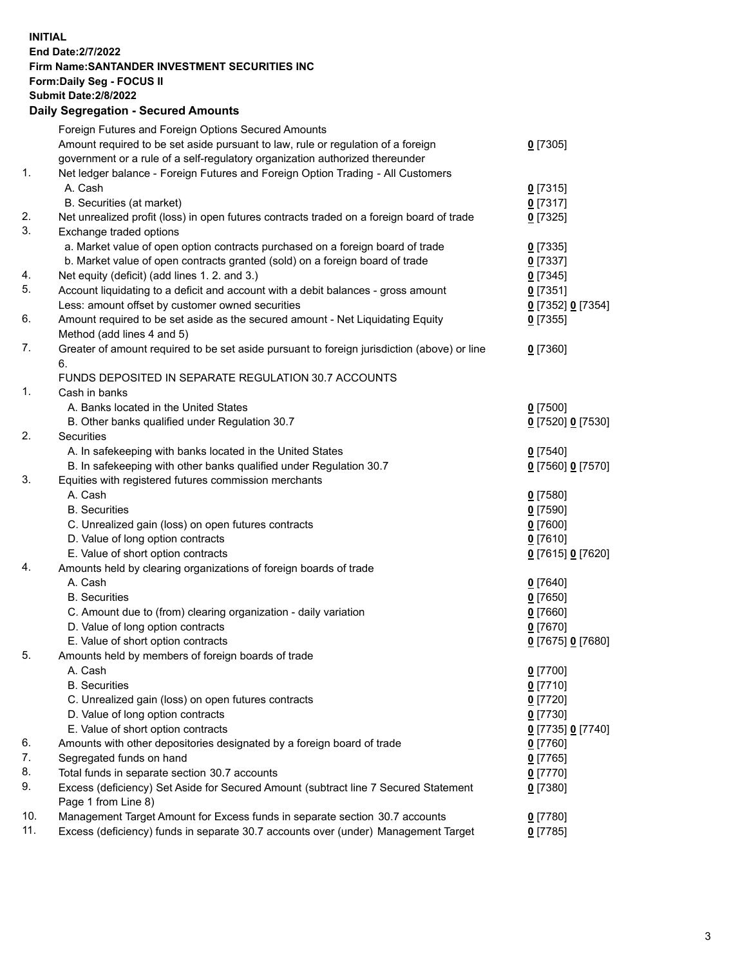## **INITIAL End Date:2/7/2022 Firm Name:SANTANDER INVESTMENT SECURITIES INC Form:Daily Seg - FOCUS II Submit Date:2/8/2022 Daily Segregation - Secured Amounts** Foreign Futures and Foreign Options Secured Amounts Amount required to be set aside pursuant to law, rule or regulation of a foreign government or a rule of a self-regulatory organization authorized thereunder 1. Net ledger balance - Foreign Futures and Foreign Option Trading - All Customers A. Cash **0** [7315] B. Securities (at market) **0** [7317] 2. Net unrealized profit (loss) in open futures contracts traded on a foreign board of trade **0** [7325] 3. Exchange traded options a. Market value of open option contracts purchased on a foreign board of trade **0** [7335] b. Market value of open contracts granted (sold) on a foreign board of trade **0** [7337] 4. Net equity (deficit) (add lines 1. 2. and 3.) **0** [7345] 5. Account liquidating to a deficit and account with a debit balances - gross amount **0** [7351] Less: amount offset by customer owned securities **0** [7352] **0** [7354] 6. Amount required to be set aside as the secured amount - Net Liquidating Equity Method (add lines 4 and 5) 7. Greater of amount required to be set aside pursuant to foreign jurisdiction (above) or line 6. FUNDS DEPOSITED IN SEPARATE REGULATION 30.7 ACCOUNTS 1. Cash in banks A. Banks located in the United States **0** [7500] B. Other banks qualified under Regulation 30.7 **0** [7520] **0** [7530] 2. Securities A. In safekeeping with banks located in the United States **0** [7540] B. In safekeeping with other banks qualified under Regulation 30.7 **0** [7560] **0** [7570] 3. Equities with registered futures commission merchants A. Cash **0** [7580] B. Securities **0** [7590] C. Unrealized gain (loss) on open futures contracts **0** [7600] D. Value of long option contracts **0** [7610] E. Value of short option contracts **0** [7615] **0** [7620] 4. Amounts held by clearing organizations of foreign boards of trade

 A. Cash **0** [7640] B. Securities **0** [7650] C. Amount due to (from) clearing organization - daily variation **0** [7660] D. Value of long option contracts **0** [7670] E. Value of short option contracts **0** [7675] **0** [7680] 5. Amounts held by members of foreign boards of trade A. Cash **0** [7700] B. Securities **0** [7710] C. Unrealized gain (loss) on open futures contracts **0** [7720] D. Value of long option contracts **0** [7730] E. Value of short option contracts **0** [7735] **0** [7740] 6. Amounts with other depositories designated by a foreign board of trade **0** [7760] 7. Segregated funds on hand **0** [7765] 8. Total funds in separate section 30.7 accounts **0** [7770] 9. Excess (deficiency) Set Aside for Secured Amount (subtract line 7 Secured Statement Page 1 from Line 8) **0** [7380] 10. Management Target Amount for Excess funds in separate section 30.7 accounts **0** [7780] 11. Excess (deficiency) funds in separate 30.7 accounts over (under) Management Target **0** [7785]

**0** [7305]

**0** [7355]

**0** [7360]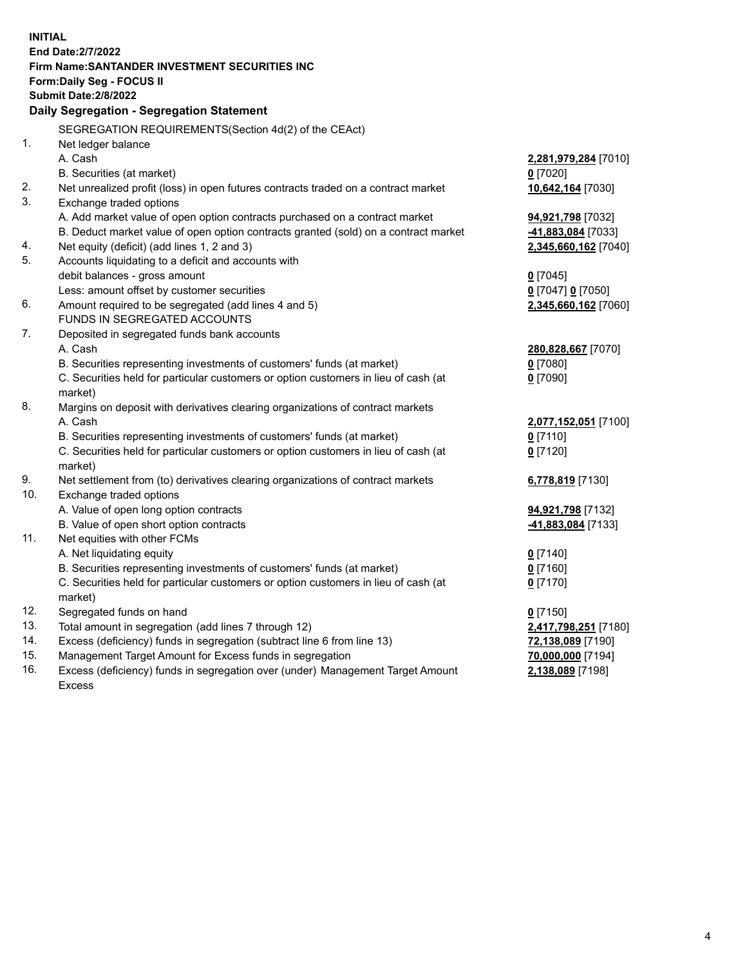| <b>INITIAL</b> | <b>End Date: 2/7/2022</b><br>Firm Name: SANTANDER INVESTMENT SECURITIES INC<br><b>Form:Daily Seg - FOCUS II</b><br><b>Submit Date:2/8/2022</b><br>Daily Segregation - Segregation Statement |                          |
|----------------|---------------------------------------------------------------------------------------------------------------------------------------------------------------------------------------------|--------------------------|
| 1.             | SEGREGATION REQUIREMENTS(Section 4d(2) of the CEAct)<br>Net ledger balance                                                                                                                  |                          |
|                | A. Cash                                                                                                                                                                                     | 2,281,979,284 [7010]     |
|                | B. Securities (at market)                                                                                                                                                                   | $0$ [7020]               |
| 2.             | Net unrealized profit (loss) in open futures contracts traded on a contract market                                                                                                          | 10,642,164 [7030]        |
| 3.             | Exchange traded options<br>A. Add market value of open option contracts purchased on a contract market                                                                                      | 94,921,798 [7032]        |
|                | B. Deduct market value of open option contracts granted (sold) on a contract market                                                                                                         | -41,883,084 [7033]       |
| 4.             | Net equity (deficit) (add lines 1, 2 and 3)                                                                                                                                                 | 2,345,660,162 [7040]     |
| 5.             | Accounts liquidating to a deficit and accounts with                                                                                                                                         |                          |
|                | debit balances - gross amount                                                                                                                                                               | $0$ [7045]               |
|                | Less: amount offset by customer securities                                                                                                                                                  | 0 [7047] 0 [7050]        |
| 6.             | Amount required to be segregated (add lines 4 and 5)                                                                                                                                        | 2,345,660,162 [7060]     |
| 7.             | FUNDS IN SEGREGATED ACCOUNTS<br>Deposited in segregated funds bank accounts                                                                                                                 |                          |
|                | A. Cash                                                                                                                                                                                     | 280,828,667 [7070]       |
|                | B. Securities representing investments of customers' funds (at market)                                                                                                                      | $0$ [7080]               |
|                | C. Securities held for particular customers or option customers in lieu of cash (at                                                                                                         | $0$ [7090]               |
|                | market)                                                                                                                                                                                     |                          |
| 8.             | Margins on deposit with derivatives clearing organizations of contract markets                                                                                                              |                          |
|                | A. Cash                                                                                                                                                                                     | 2,077,152,051 [7100]     |
|                | B. Securities representing investments of customers' funds (at market)                                                                                                                      | $0$ [7110]               |
|                | C. Securities held for particular customers or option customers in lieu of cash (at<br>market)                                                                                              | $0$ [7120]               |
| 9.             | Net settlement from (to) derivatives clearing organizations of contract markets                                                                                                             | 6,778,819 [7130]         |
| 10.            | Exchange traded options                                                                                                                                                                     |                          |
|                | A. Value of open long option contracts                                                                                                                                                      | 94,921,798 [7132]        |
|                | B. Value of open short option contracts                                                                                                                                                     | -41,883,084 [7133]       |
| 11.            | Net equities with other FCMs                                                                                                                                                                |                          |
|                | A. Net liquidating equity                                                                                                                                                                   | $0$ [7140]               |
|                | B. Securities representing investments of customers' funds (at market)<br>C. Securities held for particular customers or option customers in lieu of cash (at                               | $0$ [7160]<br>$0$ [7170] |
|                | market)                                                                                                                                                                                     |                          |
| 12.            | Segregated funds on hand                                                                                                                                                                    | $0$ [7150]               |
| 13.            | Total amount in segregation (add lines 7 through 12)                                                                                                                                        | 2,417,798,251 [7180]     |
| 14.            | Excess (deficiency) funds in segregation (subtract line 6 from line 13)                                                                                                                     | 72,138,089 [7190]        |
| 15.            | Management Target Amount for Excess funds in segregation                                                                                                                                    | 70,000,000 [7194]        |
| 16.            | Excess (deficiency) funds in segregation over (under) Management Target Amount<br><b>Excess</b>                                                                                             | 2,138,089 [7198]         |